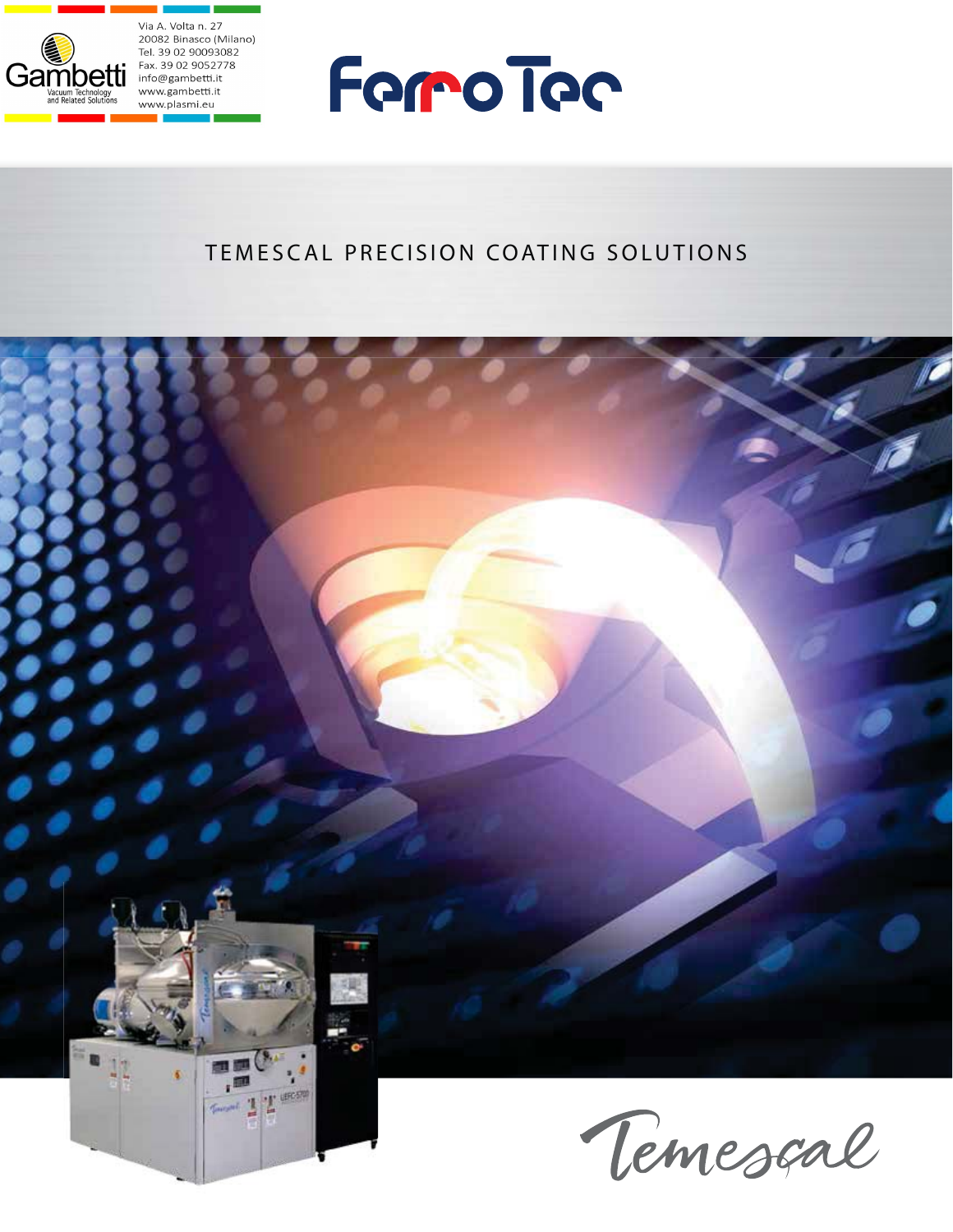





## TEMESCAL PRECISION COATING SOLUTIONS

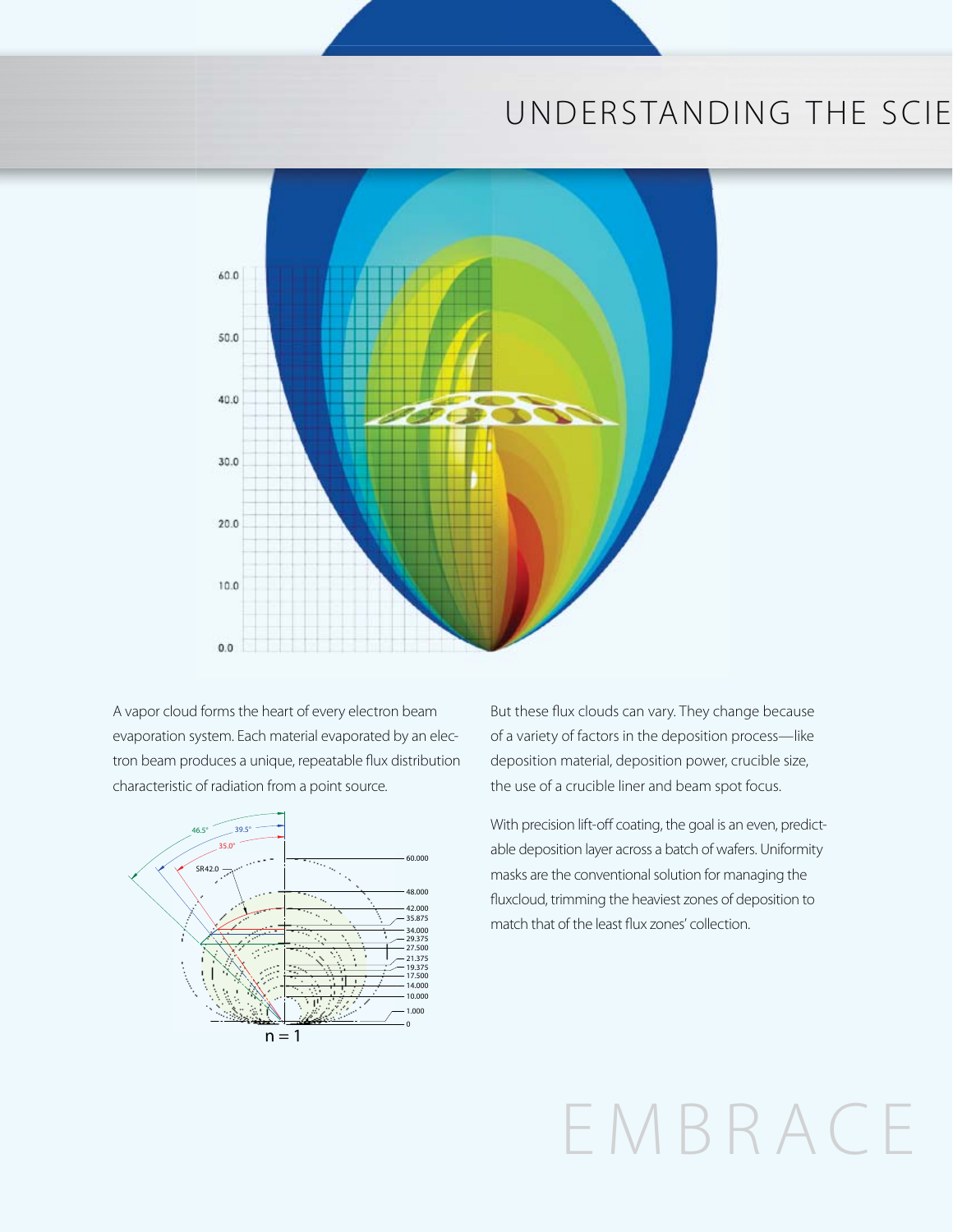## UNDERSTANDING THE SCIE



A vapor cloud forms the heart of every electron beam evaporation system. Each material evaporated by an electron beam produces a unique, repeatable flux distribution characteristic of radiation from a point source.



But these flux clouds can vary. They change because of a variety of factors in the deposition process—like deposition material, deposition power, crucible size, the use of a crucible liner and beam spot focus.

With precision lift-off coating, the goal is an even, predictable deposition layer across a batch of wafers. Uniformity masks are the conventional solution for managing the fluxcloud, trimming the heaviest zones of deposition to match that of the least flux zones' collection.

# EMBRACE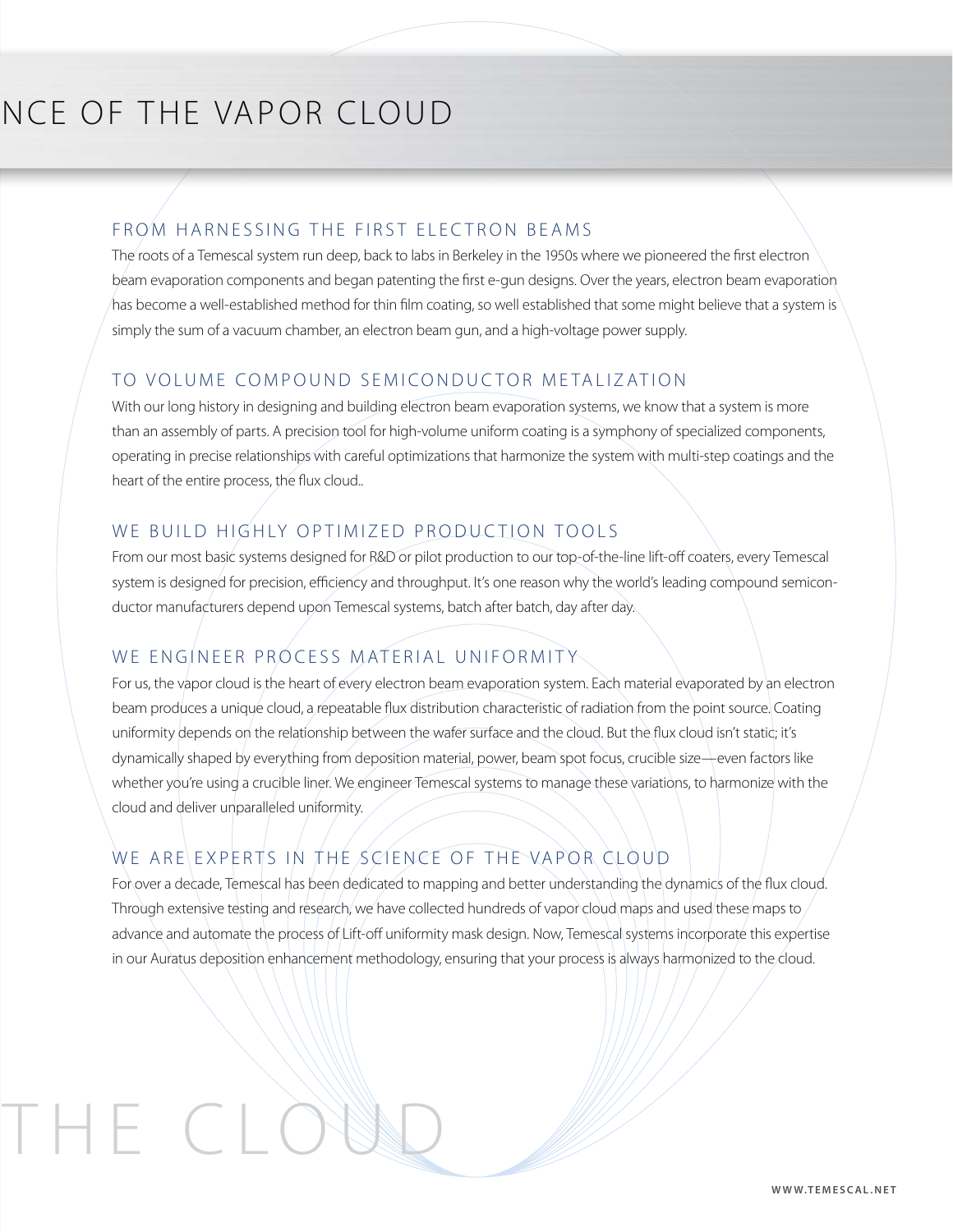## NCE OF THE VAPOR CLOUD

H E C LO

#### FROM HARNESSING THE FIRST ELECTRON BEAMS

The roots of a Temescal system run deep, back to labs in Berkeley in the 1950s where we pioneered the first electron beam evaporation components and began patenting the first e-gun designs. Over the years, electron beam evaporation has become a well-established method for thin film coating, so well established that some might believe that a system is simply the sum of a vacuum chamber, an electron beam gun, and a high-voltage power supply.

#### TO VOLUME COMPOUND SEMICONDUCTOR METALIZATION

With our long history in designing and building electron beam evaporation systems, we know that a system is more than an assembly of parts. A precision tool for high-volume uniform coating is a symphony of specialized components, operating in precise relationships with careful optimizations that harmonize the system with multi-step coatings and the heart of the entire process, the flux cloud..

#### WE BUILD HIGHLY OPTIMIZED PRODUCTION TOOLS

From our most basic systems designed for R&D or pilot production to our top-of-the-line lift-off coaters, every Temescal system is designed for precision, efficiency and throughput. It's one reason why the world's leading compound semiconductor manufacturers depend upon Temescal systems, batch after batch, day after day.

#### WE ENGINEER PROCESS MATERIAL UNIFORMITY

For us, the vapor cloud is the heart of every electron beam evaporation system. Each material evaporated by an electron beam produces a unique cloud, a repeatable flux distribution characteristic of radiation from the point source. Coating uniformity depends on the relationship between the wafer surface and the cloud. But the flux cloud isn't static; it's dynamically shaped by everything from deposition material, power, beam spot focus, crucible size—even factors like whether you're using a crucible liner. We engineer Temescal systems to manage these variations, to harmonize with the cloud and deliver unparalleled uniformity.

#### WE ARE EXPERTS IN THE SCIENCE OF THE VAPOR CLOUD

For over a decade, Temescal has been dedicated to mapping and better understanding the dynamics of the flux cloud. Through extensive testing and research, we have collected hundreds of vapor cloud maps and used these maps to advance and automate the process of Lift-off uniformity mask design. Now, Temescal systems incorporate this expertise in our Auratus deposition enhancement methodology, ensuring that your process is always harmonized to the cloud.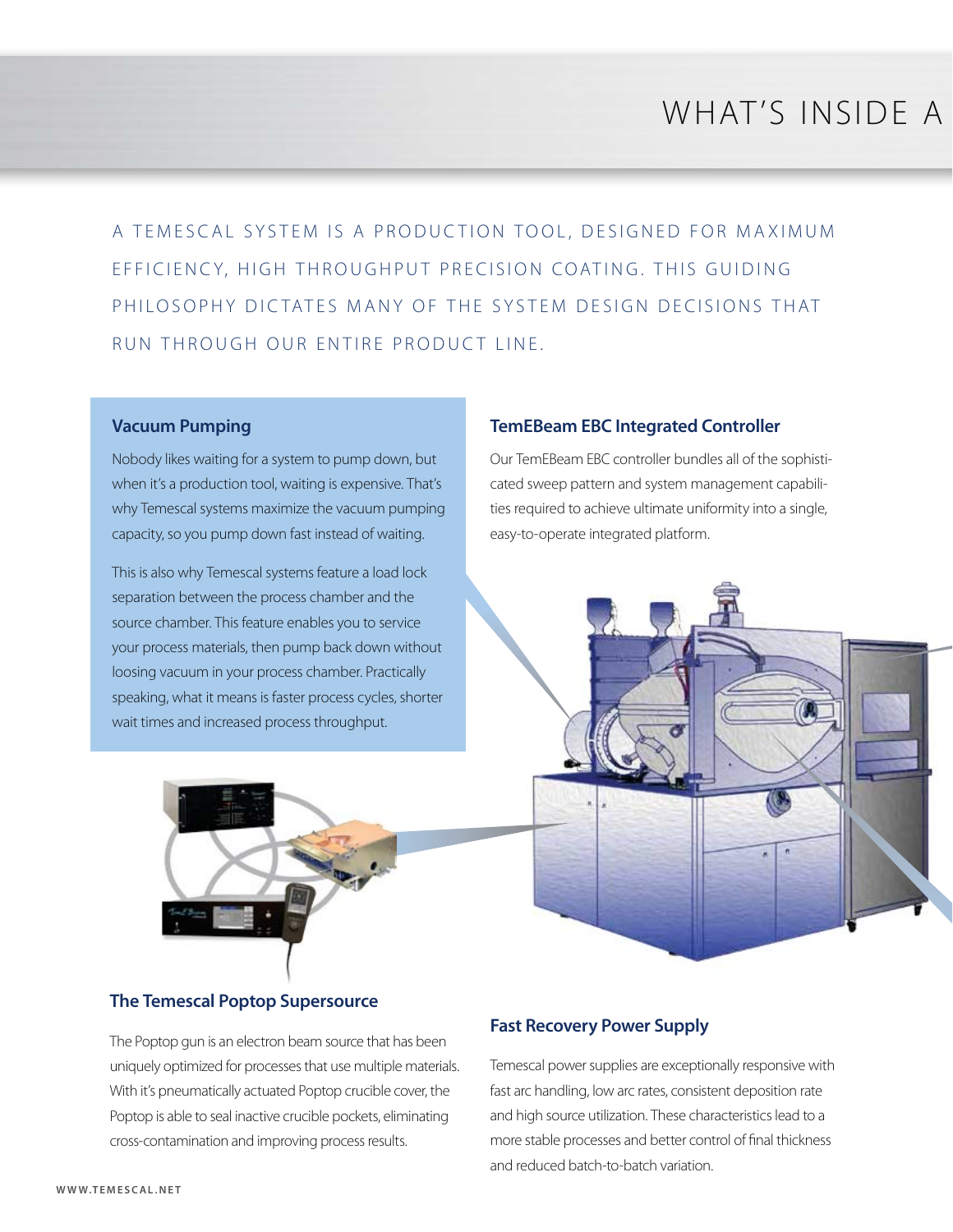## WHAT'S INSIDE A

A TEMESCAL SYSTEM IS A PRODUCTION TOOL, DESIGNED FOR MAXIMUM EFFICIENCY, HIGH THROUGHPUT PRECISION COATING. THIS GUIDING PHILOSOPHY DICTATES MANY OF THE SYSTEM DESIGN DECISIONS THAT RUN THROUGH OUR ENTIRE PRODUCT LINE.

#### **Vacuum Pumping**

Nobody likes waiting for a system to pump down, but when it's a production tool, waiting is expensive. That's why Temescal systems maximize the vacuum pumping capacity, so you pump down fast instead of waiting.

This is also why Temescal systems feature a load lock separation between the process chamber and the source chamber. This feature enables you to service your process materials, then pump back down without loosing vacuum in your process chamber. Practically speaking, what it means is faster process cycles, shorter wait times and increased process throughput.



#### **TemEBeam EBC Integrated Controller**

Our TemEBeam EBC controller bundles all of the sophisticated sweep pattern and system management capabilities required to achieve ultimate uniformity into a single, easy-to-operate integrated platform.



#### **The Temescal Poptop Supersource**

The Poptop gun is an electron beam source that has been uniquely optimized for processes that use multiple materials. With it's pneumatically actuated Poptop crucible cover, the Poptop is able to seal inactive crucible pockets, eliminating cross-contamination and improving process results.

#### **Fast Recovery Power Supply**

Temescal power supplies are exceptionally responsive with fast arc handling, low arc rates, consistent deposition rate and high source utilization. These characteristics lead to a more stable processes and better control of final thickness and reduced batch-to-batch variation.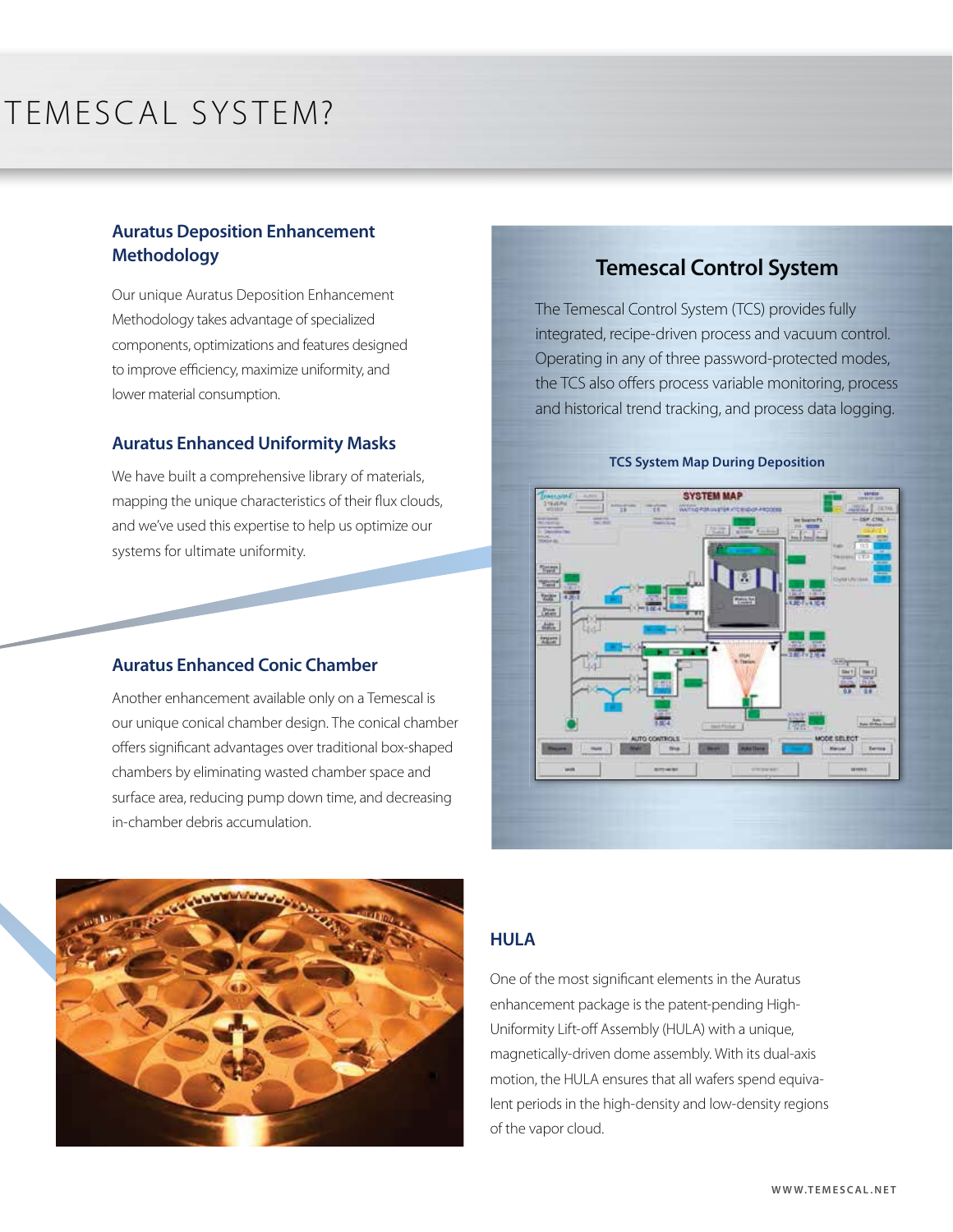## TEMESCAL SYSTEM?

#### **Auratus Deposition Enhancement Methodology**

Our unique Auratus Deposition Enhancement Methodology takes advantage of specialized components, optimizations and features designed to improve efficiency, maximize uniformity, and lower material consumption.

#### **Auratus Enhanced Uniformity Masks**

We have built a comprehensive library of materials, mapping the unique characteristics of their flux clouds, and we've used this expertise to help us optimize our systems for ultimate uniformity.

#### **Auratus Enhanced Conic Chamber**

Another enhancement available only on a Temescal is our unique conical chamber design. The conical chamber offers significant advantages over traditional box-shaped chambers by eliminating wasted chamber space and surface area, reducing pump down time, and decreasing in-chamber debris accumulation.



#### **Temescal Control System**

The Temescal Control System (TCS) provides fully integrated, recipe-driven process and vacuum control. Operating in any of three password-protected modes, the TCS also offers process variable monitoring, process and historical trend tracking, and process data logging.



#### **TCS System Map During Deposition**

#### **HULA**

One of the most significant elements in the Auratus enhancement package is the patent-pending High-Uniformity Lift-off Assembly (HULA) with a unique, magnetically-driven dome assembly. With its dual-axis motion, the HULA ensures that all wafers spend equivalent periods in the high-density and low-density regions of the vapor cloud.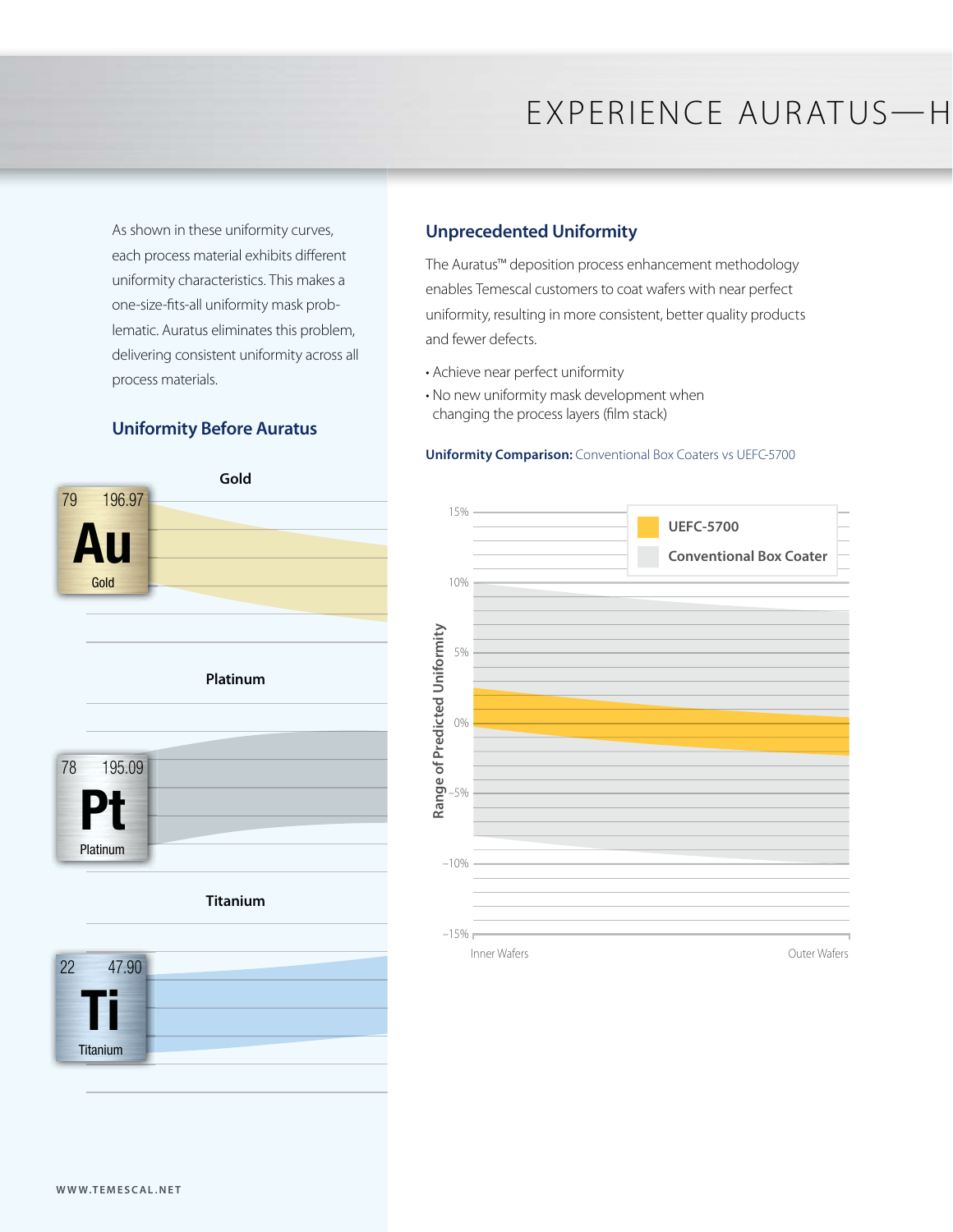As shown in these uniformity curves, each process material exhibits different uniformity characteristics. This makes a one-size-fits-all uniformity mask problematic. Auratus eliminates this problem, delivering consistent uniformity across all process materials.

#### **Uniformity Before Auratus**





#### **Unprecedented Uniformity**

The Auratus™ deposition process enhancement methodology enables Temescal customers to coat wafers with near perfect uniformity, resulting in more consistent, better quality products and fewer defects.

- Achieve near perfect uniformity
- No new uniformity mask development when changing the process layers (film stack)

#### **Uniformity Comparison:** Conventional Box Coaters vs UEFC-5700

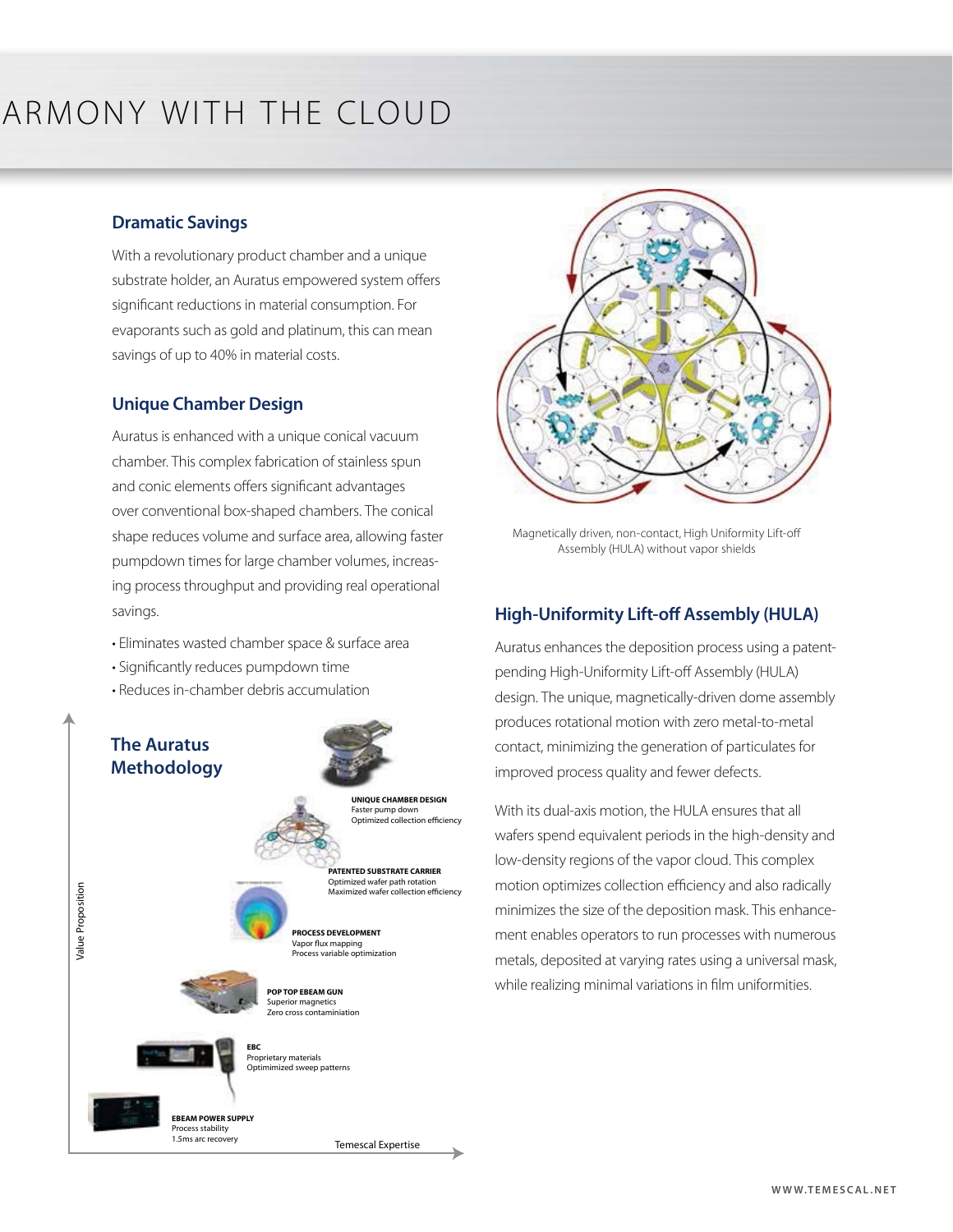## ARMONY WITH THE CLOUD

#### **Dramatic Savings**

With a revolutionary product chamber and a unique substrate holder, an Auratus empowered system offers significant reductions in material consumption. For evaporants such as gold and platinum, this can mean savings of up to 40% in material costs.

#### **Unique Chamber Design**

Auratus is enhanced with a unique conical vacuum chamber. This complex fabrication of stainless spun and conic elements offers significant advantages over conventional box-shaped chambers. The conical shape reduces volume and surface area, allowing faster pumpdown times for large chamber volumes, increasing process throughput and providing real operational savings.

- Eliminates wasted chamber space & surface area
- Significantly reduces pumpdown time
- Reduces in-chamber debris accumulation

### **The Auratus Methodology**

Value Proposition

**/alue Proposition** 



**PROCESS DEVELOPMENT** Vapor flux mapping Process variable optimization



**EBC**



**EBEAM POWER SUPPLY** Process stability 1.5ms arc recovery

Proprietary materials nimized sweep patterns

Temescal Expertise



Magnetically driven, non-contact, High Uniformity Lift-off Assembly (HULA) without vapor shields

#### **High-Uniformity Lift-off Assembly (HULA)**

Auratus enhances the deposition process using a patentpending High-Uniformity Lift-off Assembly (HULA) design. The unique, magnetically-driven dome assembly produces rotational motion with zero metal-to-metal contact, minimizing the generation of particulates for improved process quality and fewer defects.

With its dual-axis motion, the HULA ensures that all wafers spend equivalent periods in the high-density and low-density regions of the vapor cloud. This complex motion optimizes collection efficiency and also radically minimizes the size of the deposition mask. This enhancement enables operators to run processes with numerous metals, deposited at varying rates using a universal mask, while realizing minimal variations in film uniformities.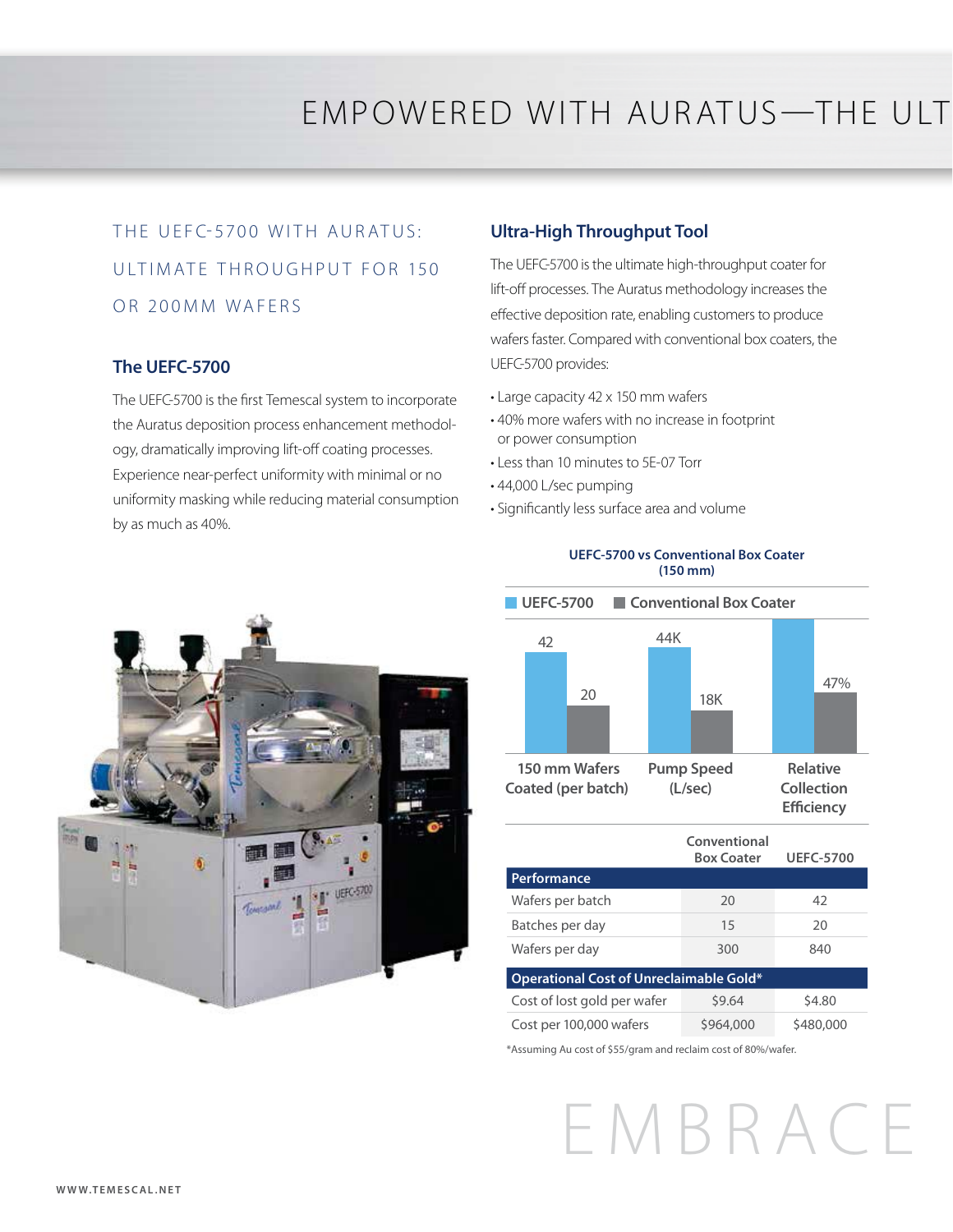## EMPOWERED WITH AURATUS—THE ULT

## THE UEFC-5700 WITH AURATUS: UI TIM ATE THROUGHPUT FOR 150 OR 200MM WAFERS

#### **The UEFC-5700**

The UEFC-5700 is the first Temescal system to incorporate the Auratus deposition process enhancement methodology, dramatically improving lift-off coating processes. Experience near-perfect uniformity with minimal or no uniformity masking while reducing material consumption by as much as 40%.

#### **Ultra-High Throughput Tool**

The UEFC-5700 is the ultimate high-throughput coater for lift-off processes. The Auratus methodology increases the effective deposition rate, enabling customers to produce wafers faster. Compared with conventional box coaters, the UEFC-5700 provides:

- Large capacity 42 x 150 mm wafers
- 40% more wafers with no increase in footprint or power consumption
- Less than 10 minutes to 5E-07 Torr
- 44,000 L/sec pumping
- Significantly less surface area and volume



#### **150 mm Wafers Coated (per batch)**  42 20 44K 18K 47% **Pump Speed (L/sec) Relative Collection Efficiency UEFC-5700 Conventional Box Coater**

**UEFC-5700 vs Conventional Box Coater (150 mm)**

|                                         | Conventional<br><b>Box Coater</b> | <b>UEFC-5700</b> |  |  |  |  |
|-----------------------------------------|-----------------------------------|------------------|--|--|--|--|
| <b>Performance</b>                      |                                   |                  |  |  |  |  |
| Wafers per batch                        | 20                                | 42               |  |  |  |  |
| Batches per day                         | 15                                | 20               |  |  |  |  |
| Wafers per day                          | 300                               | 840              |  |  |  |  |
| Operational Cost of Unreclaimable Gold* |                                   |                  |  |  |  |  |
| Cost of lost gold per wafer             | \$9.64                            | \$4.80           |  |  |  |  |
| Cost per 100,000 wafers                 | \$964,000                         | \$480,000        |  |  |  |  |

\*Assuming Au cost of \$55/gram and reclaim cost of 80%/wafer.

## EMBRACE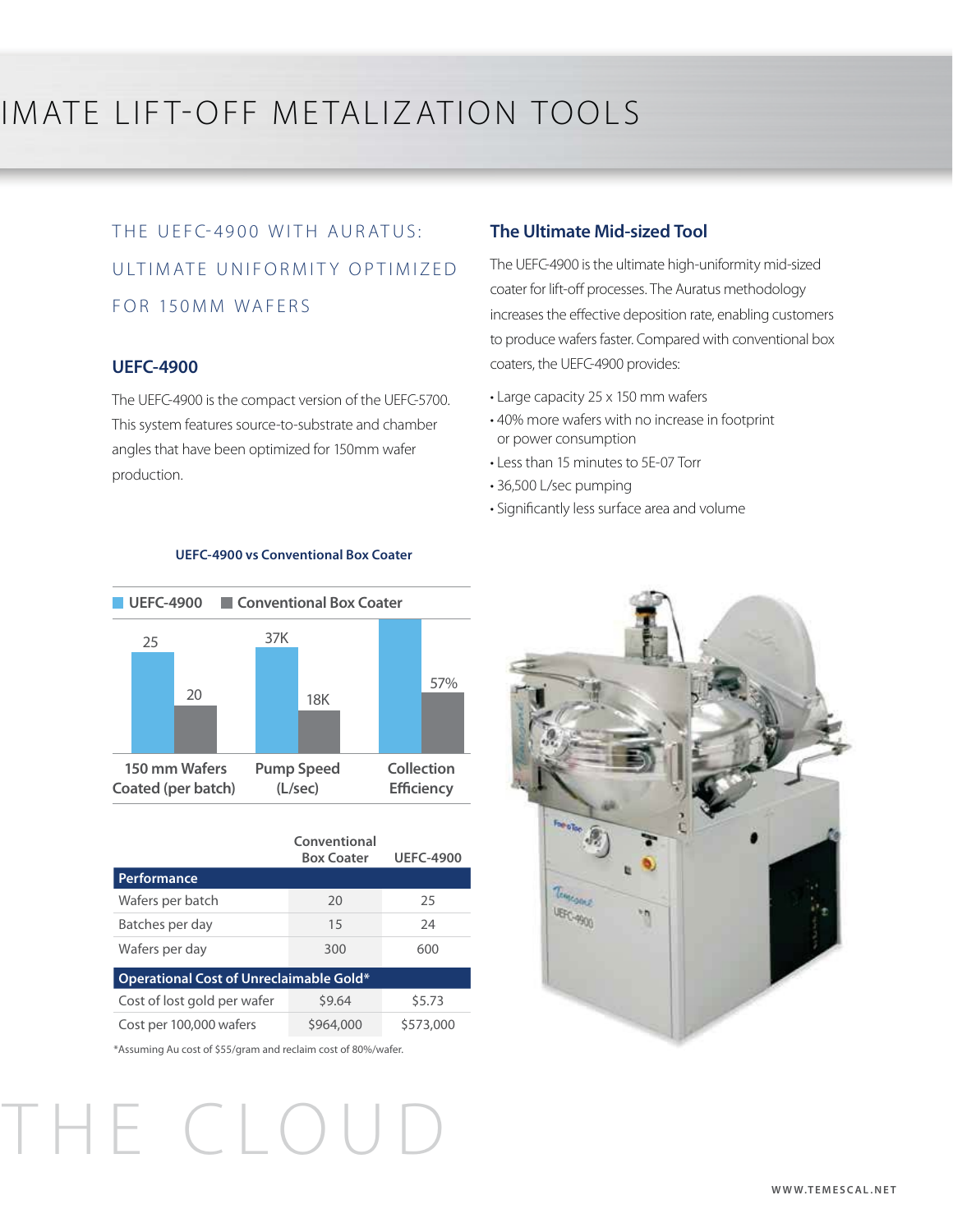## IMATE LIFT-OFF METALIZATION TOOLS

## THE UEFC-4900 WITH AURATUS: ULTIMATE UNIFORMITY OPTIMIZED FOR 150MM WAFERS

#### **UEFC-4900**

The UEFC-4900 is the compact version of the UEFC-5700. This system features source-to-substrate and chamber angles that have been optimized for 150mm wafer production.

#### **The Ultimate Mid-sized Tool**

The UEFC-4900 is the ultimate high-uniformity mid-sized coater for lift-off processes. The Auratus methodology increases the effective deposition rate, enabling customers to produce wafers faster. Compared with conventional box coaters, the UEFC-4900 provides:

- Large capacity 25 x 150 mm wafers
- 40% more wafers with no increase in footprint or power consumption
- Less than 15 minutes to 5E-07 Torr
- 36,500 L/sec pumping
- Significantly less surface area and volume



**UEFC-4900 vs Conventional Box Coater**

|                                         | Conventional<br><b>Box Coater</b> | <b>UEFC-4900</b> |  |  |  |  |
|-----------------------------------------|-----------------------------------|------------------|--|--|--|--|
| Performance                             |                                   |                  |  |  |  |  |
| Wafers per batch                        | 20                                | 25               |  |  |  |  |
| Batches per day                         | 15                                | 24               |  |  |  |  |
| Wafers per day                          | 300                               | 600              |  |  |  |  |
| Operational Cost of Unreclaimable Gold* |                                   |                  |  |  |  |  |
| Cost of lost gold per wafer             | \$9.64                            | \$5.73           |  |  |  |  |
| Cost per 100,000 wafers                 | \$964,000                         | \$573,000        |  |  |  |  |

\*Assuming Au cost of \$55/gram and reclaim cost of 80%/wafer.

THE CLOUD

# Temesone UEFC-4900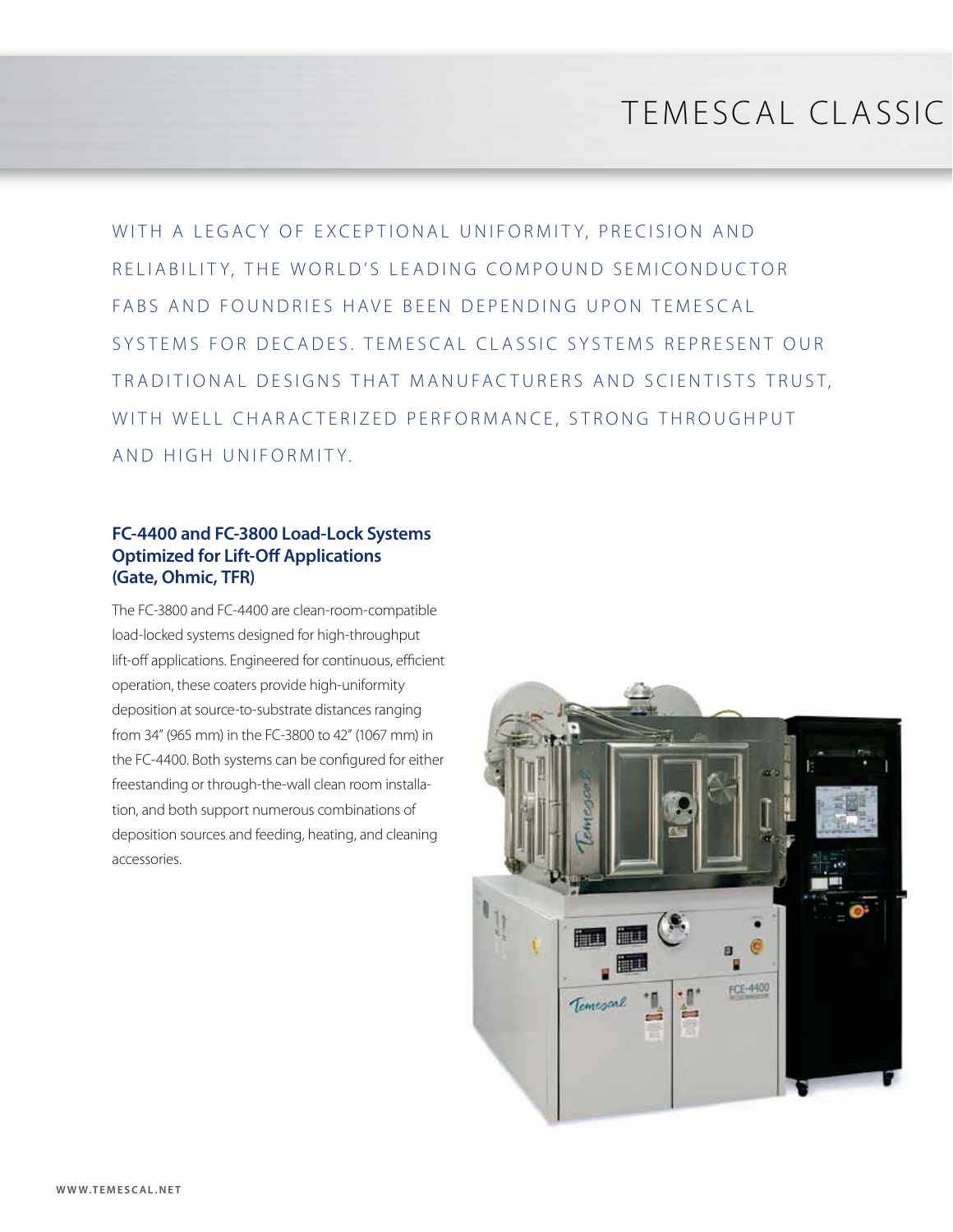## TEMESCAL CLASSIC

WITH A LEGACY OF EXCEPTIONAL UNIFORMITY, PRECISION AND RELIABILITY, THE WORLD'S LEADING COMPOUND SEMICONDUCTOR FABS AND FOUNDRIFS HAVE BEEN DEPENDING UPON TEMESCAL SYSTEMS FOR DECADES. TEMESCAL CLASSIC SYSTEMS REPRESENT OUR TRADITIONAL DESIGNS THAT MANUFACTURERS AND SCIENTISTS TRUST, WITH WELL CHARACTERIZED PERFORMANCE, STRONG THROUGHPUT AND HIGH UNIFORMITY.

#### **FC-4400 and FC-3800 Load-Lock Systems Optimized for Lift-Off Applications (Gate, Ohmic, TFR)**

The FC-3800 and FC-4400 are clean-room-compatible load-locked systems designed for high-throughput lift-off applications. Engineered for continuous, efficient operation, these coaters provide high-uniformity deposition at source-to-substrate distances ranging from 34" (965 mm) in the FC-3800 to 42" (1067 mm) in the FC-4400. Both systems can be configured for either freestanding or through-the-wall clean room installation, and both support numerous combinations of deposition sources and feeding, heating, and cleaning accessories.

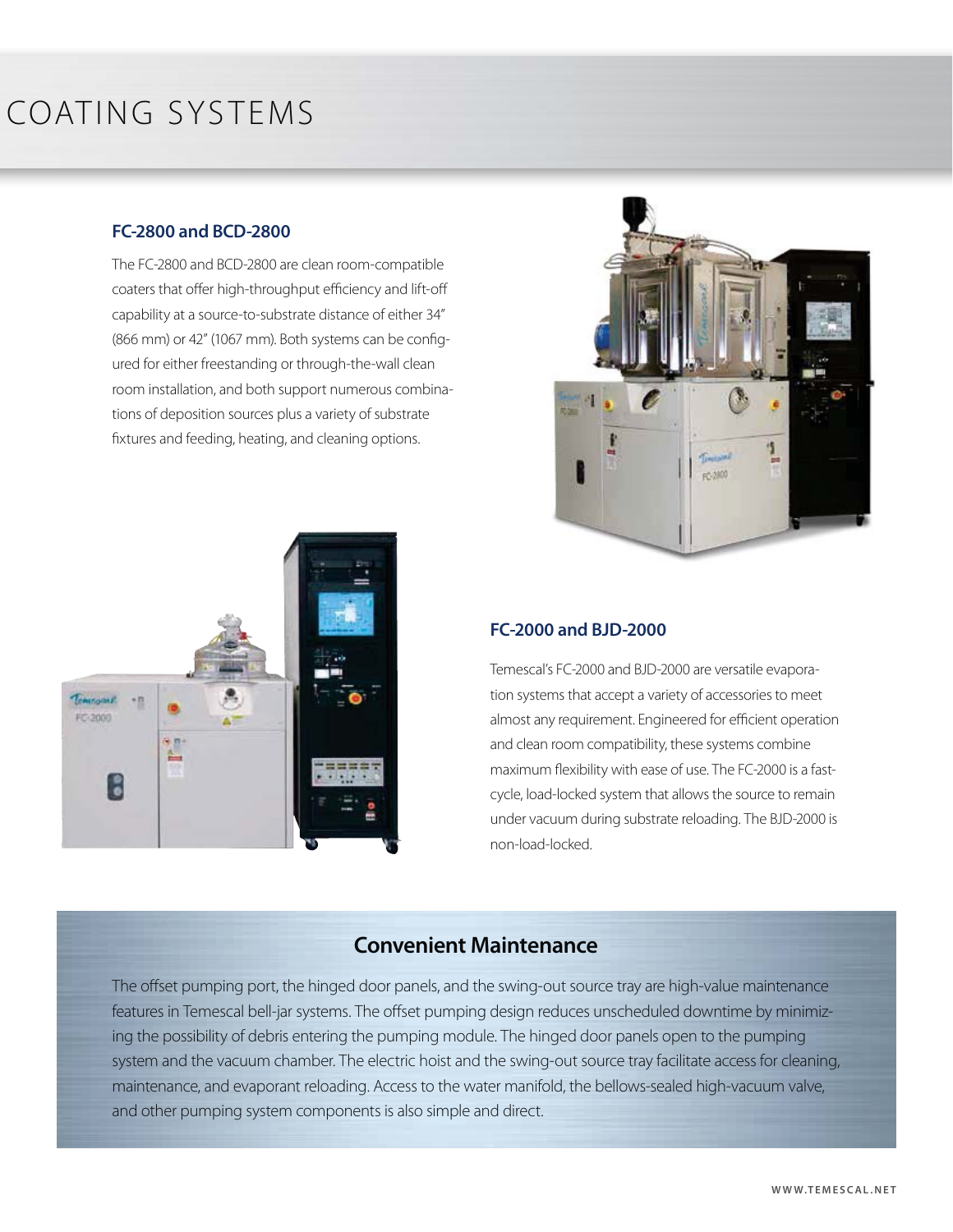## COATING SYSTEMS

#### **FC-2800 and BCD-2800**

The FC-2800 and BCD-2800 are clean room-compatible coaters that offer high-throughput efficiency and lift-off capability at a source-to-substrate distance of either 34" (866 mm) or 42" (1067 mm). Both systems can be configured for either freestanding or through-the-wall clean room installation, and both support numerous combinations of deposition sources plus a variety of substrate fixtures and feeding, heating, and cleaning options.





#### **FC-2000 and BJD-2000**

Temescal's FC-2000 and BJD-2000 are versatile evaporation systems that accept a variety of accessories to meet almost any requirement. Engineered for efficient operation and clean room compatibility, these systems combine maximum flexibility with ease of use. The FC-2000 is a fastcycle, load-locked system that allows the source to remain under vacuum during substrate reloading. The BJD-2000 is non-load-locked.

#### **Convenient Maintenance**

The offset pumping port, the hinged door panels, and the swing-out source tray are high-value maintenance features in Temescal bell-jar systems. The offset pumping design reduces unscheduled downtime by minimizing the possibility of debris entering the pumping module. The hinged door panels open to the pumping system and the vacuum chamber. The electric hoist and the swing-out source tray facilitate access for cleaning, maintenance, and evaporant reloading. Access to the water manifold, the bellows-sealed high-vacuum valve, and other pumping system components is also simple and direct.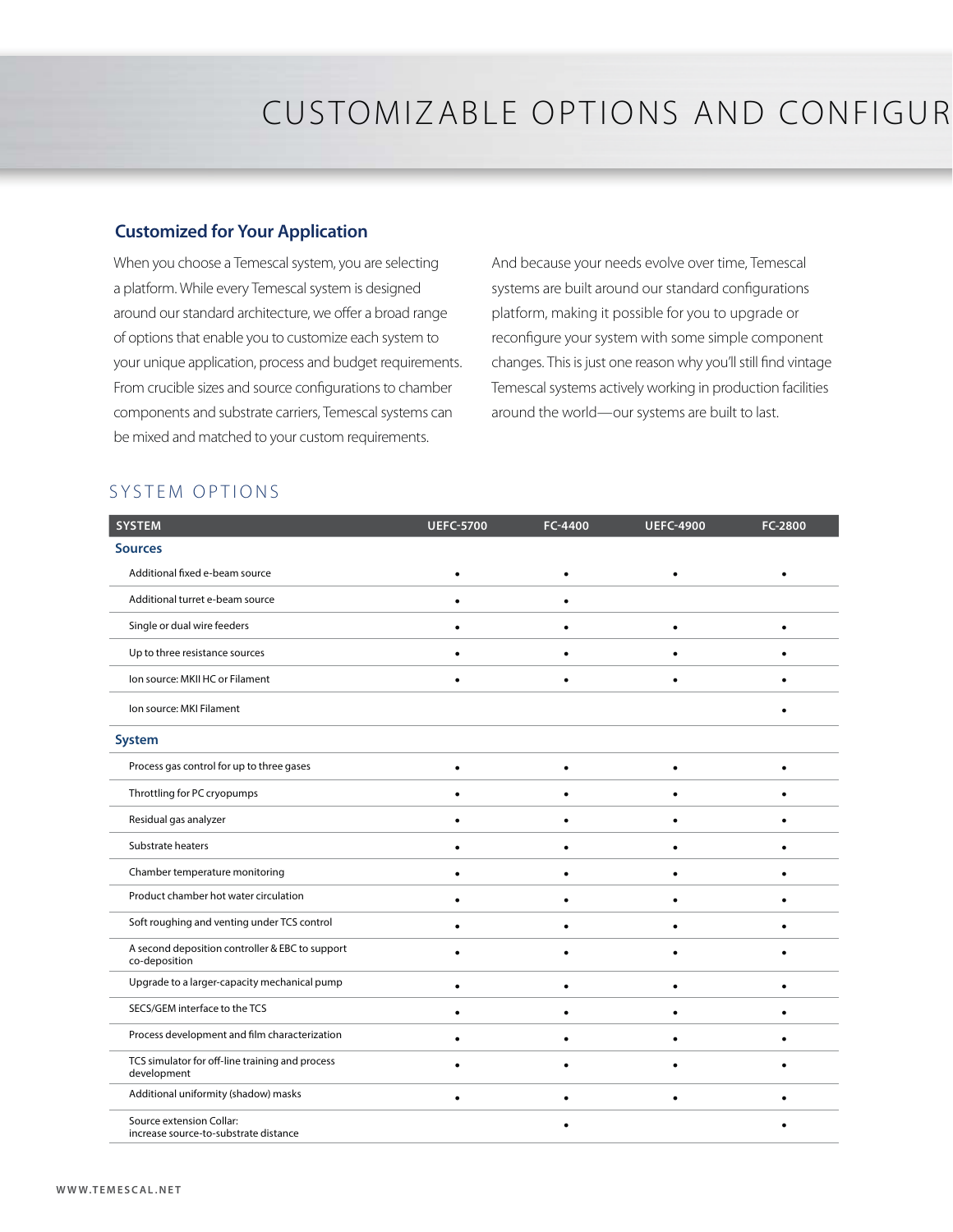#### **Customized for Your Application**

When you choose a Temescal system, you are selecting a platform. While every Temescal system is designed around our standard architecture, we offer a broad range of options that enable you to customize each system to your unique application, process and budget requirements. From crucible sizes and source configurations to chamber components and substrate carriers, Temescal systems can be mixed and matched to your custom requirements.

And because your needs evolve over time, Temescal systems are built around our standard configurations platform, making it possible for you to upgrade or reconfigure your system with some simple component changes. This is just one reason why you'll still find vintage Temescal systems actively working in production facilities around the world—our systems are built to last.

#### SYSTEM OPTIONS

| <b>SYSTEM</b>                                                     | <b>UEFC-5700</b> | FC-4400   | <b>UEFC-4900</b> | FC-2800 |
|-------------------------------------------------------------------|------------------|-----------|------------------|---------|
| <b>Sources</b>                                                    |                  |           |                  |         |
| Additional fixed e-beam source                                    |                  |           |                  |         |
| Additional turret e-beam source                                   |                  |           |                  |         |
| Single or dual wire feeders                                       |                  |           |                  |         |
| Up to three resistance sources                                    |                  |           |                  |         |
| Ion source: MKII HC or Filament                                   |                  | ٠         |                  |         |
| Ion source: MKI Filament                                          |                  |           |                  |         |
| <b>System</b>                                                     |                  |           |                  |         |
| Process gas control for up to three gases                         | $\bullet$        | $\bullet$ | $\bullet$        | ٠       |
| Throttling for PC cryopumps                                       |                  |           |                  |         |
| Residual gas analyzer                                             |                  |           |                  |         |
| Substrate heaters                                                 |                  |           |                  |         |
| Chamber temperature monitoring                                    |                  |           |                  |         |
| Product chamber hot water circulation                             |                  |           |                  |         |
| Soft roughing and venting under TCS control                       |                  |           |                  |         |
| A second deposition controller & EBC to support<br>co-deposition  |                  |           |                  |         |
| Upgrade to a larger-capacity mechanical pump                      | ٠                | $\bullet$ | ٠                | ٠       |
| SECS/GEM interface to the TCS                                     | ٠                | $\bullet$ |                  |         |
| Process development and film characterization                     |                  |           |                  |         |
| TCS simulator for off-line training and process<br>development    |                  |           |                  |         |
| Additional uniformity (shadow) masks                              |                  |           |                  |         |
| Source extension Collar:<br>increase source-to-substrate distance |                  |           |                  |         |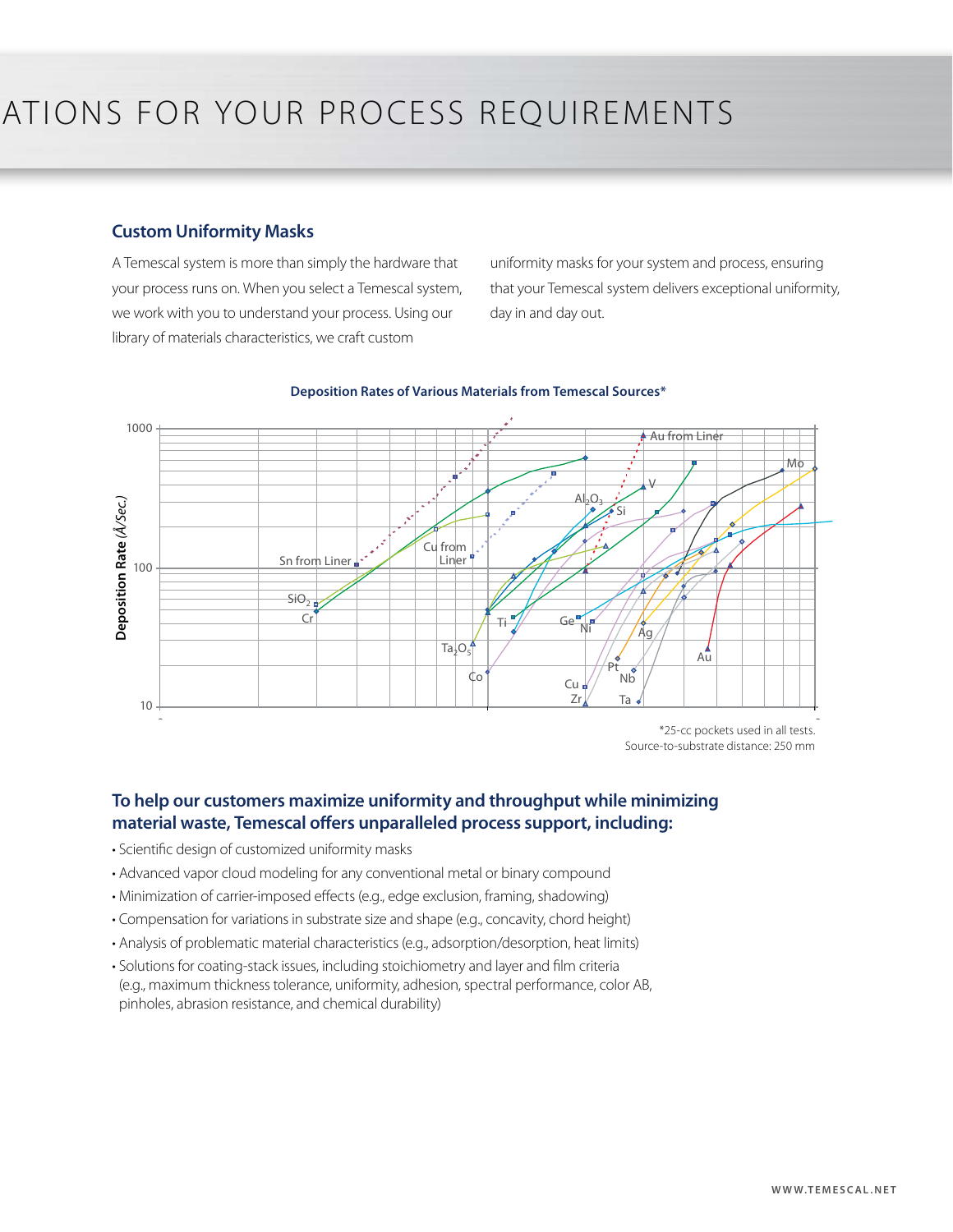#### **Custom Uniformity Masks**

A Temescal system is more than simply the hardware that your process runs on. When you select a Temescal system, we work with you to understand your process. Using our library of materials characteristics, we craft custom

uniformity masks for your system and process, ensuring that your Temescal system delivers exceptional uniformity, day in and day out.



#### **Deposition Rates of Various Materials from Temescal Sources\***

 $*$ 25-cc pockets used in all tests. Source-to-substrate distance: 250 mm

#### **To help our customers maximize uniformity and throughput while minimizing material waste, Temescal offers unparalleled process support, including:**

- Scientific design of customized uniformity masks
- Advanced vapor cloud modeling for any conventional metal or binary compound
- Minimization of carrier-imposed effects (e.g., edge exclusion, framing, shadowing)
- Compensation for variations in substrate size and shape (e.g., concavity, chord height)
- Analysis of problematic material characteristics (e.g., adsorption/desorption, heat limits)
- Solutions for coating-stack issues, including stoichiometry and layer and film criteria (e.g., maximum thickness tolerance, uniformity, adhesion, spectral performance, color AB, pinholes, abrasion resistance, and chemical durability)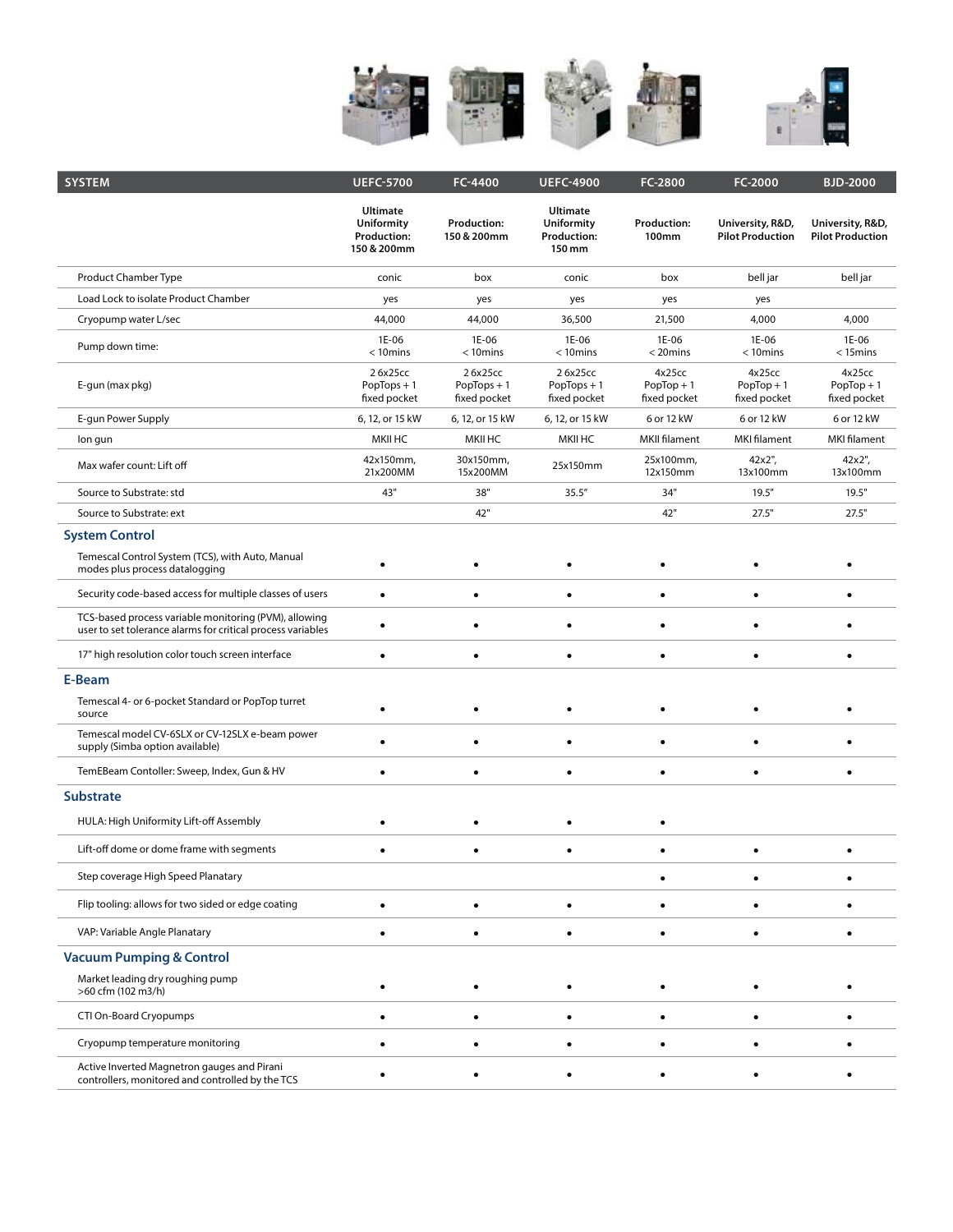

| <b>SYSTEM</b>                                                                                                        | <b>UEFC-5700</b>                                                   | FC-4400                                  | <b>UEFC-4900</b>                                                     | FC-2800                                | FC-2000                                     | <b>BJD-2000</b>                             |
|----------------------------------------------------------------------------------------------------------------------|--------------------------------------------------------------------|------------------------------------------|----------------------------------------------------------------------|----------------------------------------|---------------------------------------------|---------------------------------------------|
|                                                                                                                      | <b>Ultimate</b><br><b>Uniformity</b><br>Production:<br>150 & 200mm | <b>Production:</b><br>150 & 200mm        | <b>Ultimate</b><br><b>Uniformity</b><br><b>Production:</b><br>150 mm | <b>Production:</b><br><b>100mm</b>     | University, R&D,<br><b>Pilot Production</b> | University, R&D,<br><b>Pilot Production</b> |
| Product Chamber Type                                                                                                 | conic                                                              | box                                      | conic                                                                | box                                    | bell jar                                    | bell jar                                    |
| Load Lock to isolate Product Chamber                                                                                 | yes                                                                | yes                                      | yes                                                                  | yes                                    | yes                                         |                                             |
| Cryopump water L/sec                                                                                                 | 44,000                                                             | 44,000                                   | 36,500                                                               | 21,500                                 | 4,000                                       | 4,000                                       |
| Pump down time:                                                                                                      | 1E-06<br>$< 10$ mins                                               | 1E-06<br>$< 10$ mins                     | 1E-06<br>$< 10$ mins                                                 | 1E-06<br>$<$ 20 $mins$                 | 1E-06<br>$<$ 10 $m$ ins                     | 1E-06<br>$<$ 15 $m$ ins                     |
| E-gun (max pkg)                                                                                                      | 26x25cc<br>$PopTops + 1$<br>fixed pocket                           | 26x25cc<br>$PopTops + 1$<br>fixed pocket | 26x25cc<br>$PopTops + 1$<br>fixed pocket                             | 4x25cc<br>$PopTop + 1$<br>fixed pocket | 4x25cc<br>$PopTop + 1$<br>fixed pocket      | 4x25cc<br>$PopTop + 1$<br>fixed pocket      |
| E-gun Power Supply                                                                                                   | 6, 12, or 15 kW                                                    | 6, 12, or 15 kW                          | 6, 12, or 15 kW                                                      | 6 or 12 kW                             | 6 or 12 kW                                  | 6 or 12 kW                                  |
| lon gun                                                                                                              | <b>MKII HC</b>                                                     | <b>MKII HC</b>                           | <b>MKII HC</b>                                                       | <b>MKII filament</b>                   | <b>MKI</b> filament                         | <b>MKI</b> filament                         |
| Max wafer count: Lift off                                                                                            | 42x150mm,<br>21x200MM                                              | 30x150mm,<br>15x200MM                    | 25x150mm                                                             | 25x100mm,<br>12x150mm                  | 42x2",<br>13x100mm                          | 42x2",<br>13x100mm                          |
| Source to Substrate: std                                                                                             | 43"                                                                | 38"                                      | 35.5''                                                               | 34"                                    | 19.5"                                       | 19.5"                                       |
| Source to Substrate: ext                                                                                             |                                                                    | 42"                                      |                                                                      | 42"                                    | 27.5"                                       | 27.5"                                       |
| <b>System Control</b>                                                                                                |                                                                    |                                          |                                                                      |                                        |                                             |                                             |
| Temescal Control System (TCS), with Auto, Manual<br>modes plus process datalogging                                   | $\bullet$                                                          | ٠                                        |                                                                      |                                        |                                             |                                             |
| Security code-based access for multiple classes of users                                                             | ٠                                                                  | ٠                                        | $\bullet$                                                            | $\bullet$                              | ٠                                           |                                             |
| TCS-based process variable monitoring (PVM), allowing<br>user to set tolerance alarms for critical process variables |                                                                    | $\bullet$                                |                                                                      |                                        |                                             |                                             |
| 17" high resolution color touch screen interface                                                                     | ٠                                                                  | ٠                                        | ٠                                                                    | $\bullet$                              | ٠                                           |                                             |
| E-Beam                                                                                                               |                                                                    |                                          |                                                                      |                                        |                                             |                                             |
| Temescal 4- or 6-pocket Standard or PopTop turret<br>source                                                          |                                                                    | ٠                                        |                                                                      |                                        |                                             |                                             |
| Temescal model CV-6SLX or CV-12SLX e-beam power<br>supply (Simba option available)                                   | $\bullet$                                                          | ٠                                        | ٠                                                                    | ٠                                      | ٠                                           |                                             |
| TemEBeam Contoller: Sweep, Index, Gun & HV                                                                           | ٠                                                                  | ٠                                        | $\bullet$                                                            | $\bullet$                              | $\bullet$                                   | ٠                                           |
| <b>Substrate</b>                                                                                                     |                                                                    |                                          |                                                                      |                                        |                                             |                                             |
| HULA: High Uniformity Lift-off Assembly                                                                              |                                                                    | ٠                                        |                                                                      |                                        |                                             |                                             |
| Lift-off dome or dome frame with segments                                                                            |                                                                    | $\bullet$                                |                                                                      |                                        |                                             |                                             |
| Step coverage High Speed Planatary                                                                                   |                                                                    |                                          |                                                                      |                                        |                                             |                                             |
| Flip tooling: allows for two sided or edge coating                                                                   | $\bullet$                                                          | $\bullet$                                |                                                                      |                                        |                                             |                                             |
| VAP: Variable Angle Planatary                                                                                        | ٠                                                                  | $\bullet$                                |                                                                      |                                        |                                             |                                             |
| <b>Vacuum Pumping &amp; Control</b>                                                                                  |                                                                    |                                          |                                                                      |                                        |                                             |                                             |
| Market leading dry roughing pump<br>>60 cfm (102 m3/h)                                                               |                                                                    | $\bullet$                                |                                                                      |                                        |                                             |                                             |
| CTI On-Board Cryopumps                                                                                               |                                                                    | ٠                                        |                                                                      |                                        |                                             |                                             |
| Cryopump temperature monitoring                                                                                      |                                                                    | $\bullet$                                |                                                                      |                                        |                                             |                                             |
| Active Inverted Magnetron gauges and Pirani<br>controllers, monitored and controlled by the TCS                      |                                                                    | ٠                                        |                                                                      |                                        |                                             |                                             |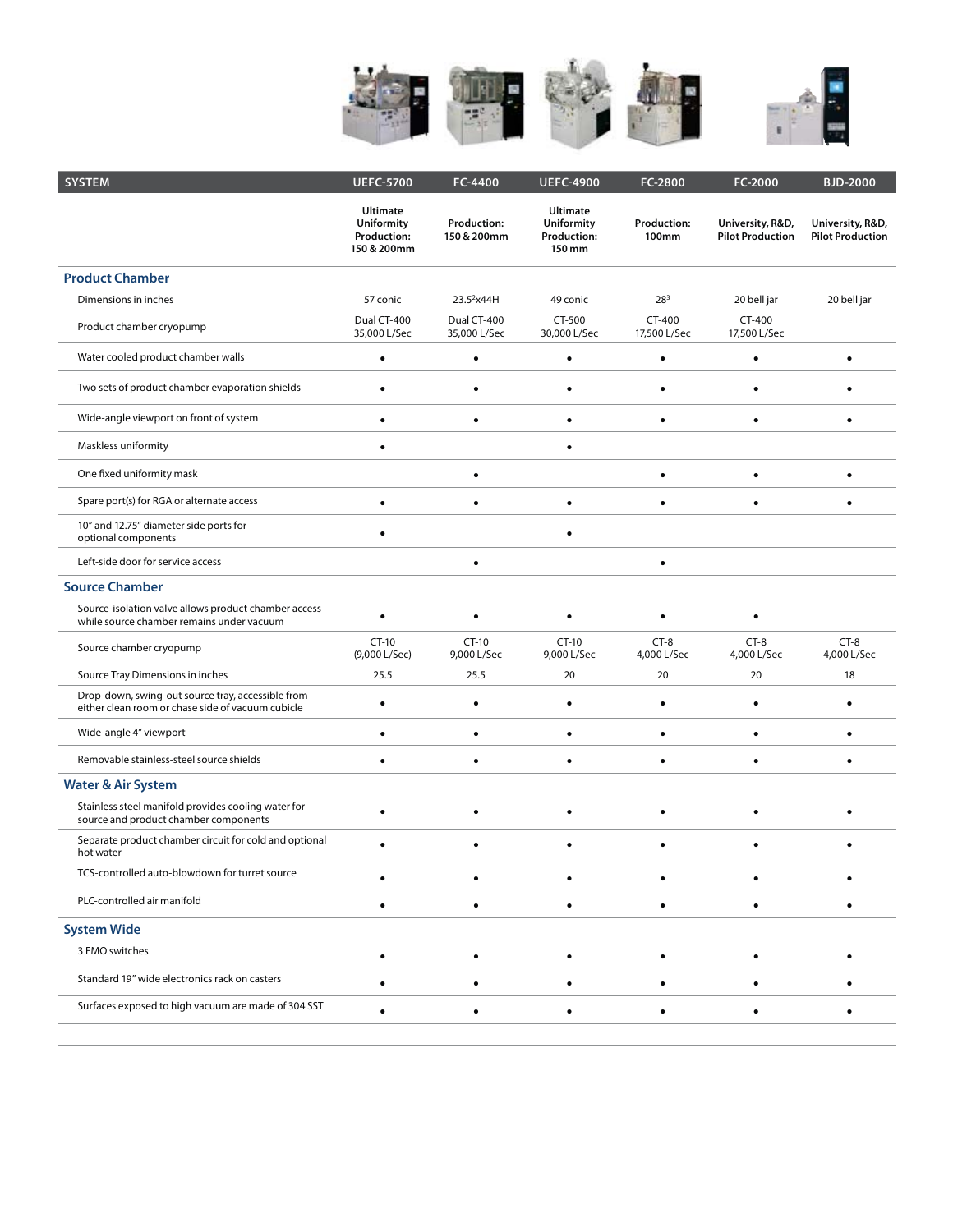

| <b>SYSTEM</b>                                                                                          | <b>UEFC-5700</b>                                                   | FC-4400                           | <b>UEFC-4900</b>                                                     | FC-2800                     | FC-2000                                     | <b>BJD-2000</b>                             |
|--------------------------------------------------------------------------------------------------------|--------------------------------------------------------------------|-----------------------------------|----------------------------------------------------------------------|-----------------------------|---------------------------------------------|---------------------------------------------|
|                                                                                                        | <b>Ultimate</b><br>Uniformity<br><b>Production:</b><br>150 & 200mm | <b>Production:</b><br>150 & 200mm | <b>Ultimate</b><br><b>Uniformity</b><br><b>Production:</b><br>150 mm | <b>Production:</b><br>100mm | University, R&D,<br><b>Pilot Production</b> | University, R&D,<br><b>Pilot Production</b> |
| <b>Product Chamber</b>                                                                                 |                                                                    |                                   |                                                                      |                             |                                             |                                             |
| Dimensions in inches                                                                                   | 57 conic                                                           | 23.5 <sup>2</sup> x44H            | 49 conic                                                             | $28^{3}$                    | 20 bell jar                                 | 20 bell jar                                 |
| Product chamber cryopump                                                                               | Dual CT-400<br>35,000 L/Sec                                        | Dual CT-400<br>35,000 L/Sec       | CT-500<br>30,000 L/Sec                                               | CT-400<br>17,500 L/Sec      | CT-400<br>17,500 L/Sec                      |                                             |
| Water cooled product chamber walls                                                                     | $\bullet$                                                          | $\bullet$                         | ٠                                                                    | $\bullet$                   | $\bullet$                                   | $\bullet$                                   |
| Two sets of product chamber evaporation shields                                                        | $\bullet$                                                          | $\bullet$                         | $\bullet$                                                            | $\bullet$                   | $\bullet$                                   |                                             |
| Wide-angle viewport on front of system                                                                 |                                                                    | $\bullet$                         |                                                                      |                             |                                             |                                             |
| Maskless uniformity                                                                                    | $\bullet$                                                          |                                   |                                                                      |                             |                                             |                                             |
| One fixed uniformity mask                                                                              |                                                                    | $\bullet$                         |                                                                      |                             |                                             |                                             |
| Spare port(s) for RGA or alternate access                                                              | ٠                                                                  | $\bullet$                         |                                                                      |                             |                                             |                                             |
| 10" and 12.75" diameter side ports for<br>optional components                                          | ٠                                                                  |                                   |                                                                      |                             |                                             |                                             |
| Left-side door for service access                                                                      |                                                                    | $\bullet$                         |                                                                      | $\bullet$                   |                                             |                                             |
| <b>Source Chamber</b>                                                                                  |                                                                    |                                   |                                                                      |                             |                                             |                                             |
| Source-isolation valve allows product chamber access<br>while source chamber remains under vacuum      | ٠                                                                  | $\bullet$                         |                                                                      |                             |                                             |                                             |
| Source chamber cryopump                                                                                | $CT-10$<br>(9,000 L/Sec)                                           | $CT-10$<br>9,000 L/Sec            | $CT-10$<br>9,000 L/Sec                                               | $CT-8$<br>4,000 L/Sec       | $CT-8$<br>4,000 L/Sec                       | $CT-8$<br>4,000 L/Sec                       |
| Source Tray Dimensions in inches                                                                       | 25.5                                                               | 25.5                              | 20                                                                   | 20                          | 20                                          | 18                                          |
| Drop-down, swing-out source tray, accessible from<br>either clean room or chase side of vacuum cubicle | ٠                                                                  | $\bullet$                         | ٠                                                                    | ٠                           | $\bullet$                                   | $\bullet$                                   |
| Wide-angle 4" viewport                                                                                 | $\bullet$                                                          | $\bullet$                         | $\bullet$                                                            | $\bullet$                   | $\bullet$                                   | $\bullet$                                   |
| Removable stainless-steel source shields                                                               | $\bullet$                                                          | $\bullet$                         | $\bullet$                                                            | $\bullet$                   | $\bullet$                                   | $\bullet$                                   |
| <b>Water &amp; Air System</b>                                                                          |                                                                    |                                   |                                                                      |                             |                                             |                                             |
| Stainless steel manifold provides cooling water for<br>source and product chamber components           |                                                                    |                                   |                                                                      |                             |                                             |                                             |
| Separate product chamber circuit for cold and optional<br>hot water                                    | $\bullet$                                                          | $\bullet$                         |                                                                      |                             | $\bullet$                                   |                                             |
| TCS-controlled auto-blowdown for turret source                                                         |                                                                    |                                   |                                                                      |                             |                                             |                                             |
| PLC-controlled air manifold                                                                            |                                                                    |                                   |                                                                      |                             |                                             |                                             |
| <b>System Wide</b>                                                                                     |                                                                    |                                   |                                                                      |                             |                                             |                                             |
| 3 EMO switches                                                                                         |                                                                    |                                   |                                                                      |                             |                                             |                                             |
| Standard 19" wide electronics rack on casters                                                          | ٠                                                                  | ٠                                 |                                                                      |                             |                                             |                                             |
| Surfaces exposed to high vacuum are made of 304 SST                                                    | $\bullet$                                                          | ٠                                 |                                                                      |                             | ٠                                           |                                             |
|                                                                                                        |                                                                    |                                   |                                                                      |                             |                                             |                                             |